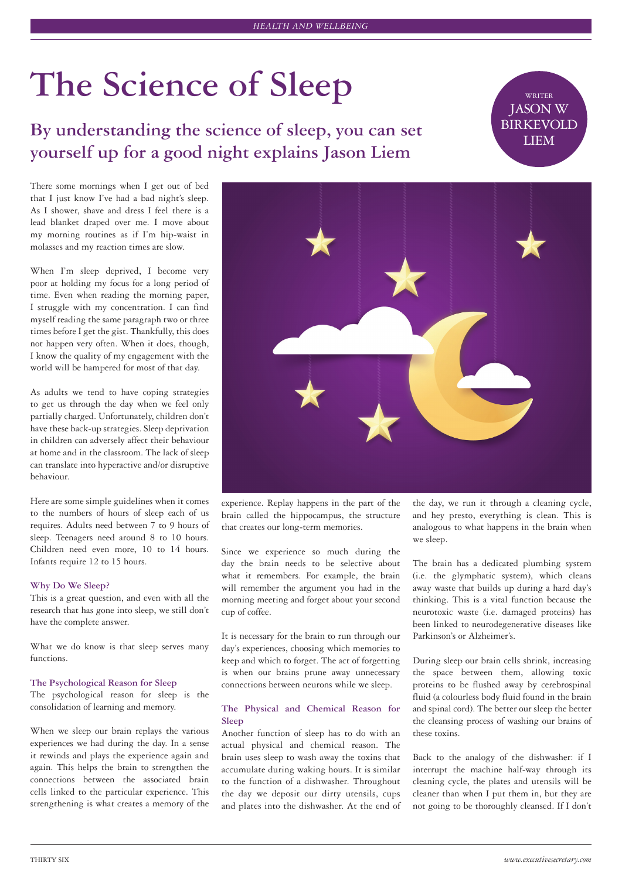# The Science of Sleep

By understanding the science of sleep, you can set **yourself up for a good night explains Jason Liem**

JASON W **BIRKEVOLD** 

There some mornings when I get out of bed that I just know I've had a bad night's sleep. As I shower, shave and dress I feel there is a lead blanket draped over me. I move about my morning routines as if I'm hip-waist in molasses and my reaction times are slow.

When I'm sleep deprived, I become very poor at holding my focus for a long period of time. Even when reading the morning paper, I struggle with my concentration. I can find myself reading the same paragraph two or three times before I get the gist. Thankfully, this does not happen very often. When it does, though, I know the quality of my engagement with the world will be hampered for most of that day.

As adults we tend to have coping strategies to get us through the day when we feel only partially charged. Unfortunately, children don't have these back-up strategies. Sleep deprivation in children can adversely affect their behaviour at home and in the classroom. The lack of sleep can translate into hyperactive and/or disruptive behaviour.

Here are some simple guidelines when it comes to the numbers of hours of sleep each of us requires. Adults need between 7 to 9 hours of sleep. Teenagers need around 8 to 10 hours. Children need even more, 10 to 14 hours. Infants require 12 to 15 hours.

#### **Why Do We Sleep?**

This is a great question, and even with all the research that has gone into sleep, we still don't have the complete answer.

What we do know is that sleep serves many functions.

## **The Psychological Reason for Sleep**

The psychological reason for sleep is the consolidation of learning and memory.

When we sleep our brain replays the various experiences we had during the day. In a sense it rewinds and plays the experience again and again. This helps the brain to strengthen the connections between the associated brain cells linked to the particular experience. This strengthening is what creates a memory of the



experience. Replay happens in the part of the brain called the hippocampus, the structure that creates our long-term memories.

Since we experience so much during the day the brain needs to be selective about what it remembers. For example, the brain will remember the argument you had in the morning meeting and forget about your second cup of coffee.

It is necessary for the brain to run through our day's experiences, choosing which memories to keep and which to forget. The act of forgetting is when our brains prune away unnecessary connections between neurons while we sleep.

## **The Physical and Chemical Reason for Sleep**

Another function of sleep has to do with an actual physical and chemical reason. The brain uses sleep to wash away the toxins that accumulate during waking hours. It is similar to the function of a dishwasher. Throughout the day we deposit our dirty utensils, cups and plates into the dishwasher. At the end of the day, we run it through a cleaning cycle, and hey presto, everything is clean. This is analogous to what happens in the brain when we sleep.

The brain has a dedicated plumbing system (i.e. the glymphatic system), which cleans away waste that builds up during a hard day's thinking. This is a vital function because the neurotoxic waste (i.e. damaged proteins) has been linked to neurodegenerative diseases like Parkinson's or Alzheimer's.

During sleep our brain cells shrink, increasing the space between them, allowing toxic proteins to be flushed away by cerebrospinal fluid (a colourless body fluid found in the brain and spinal cord). The better our sleep the better the cleansing process of washing our brains of these toxins.

Back to the analogy of the dishwasher: if I interrupt the machine half-way through its cleaning cycle, the plates and utensils will be cleaner than when I put them in, but they are not going to be thoroughly cleansed. If I don't